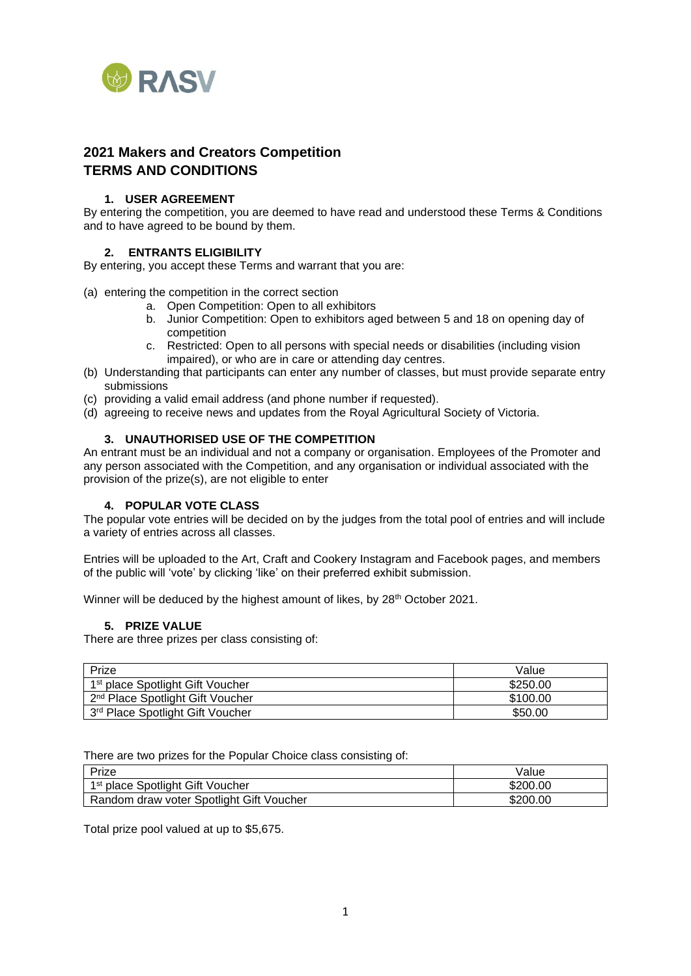

# **2021 Makers and Creators Competition TERMS AND CONDITIONS**

# **1. USER AGREEMENT**

By entering the competition, you are deemed to have read and understood these Terms & Conditions and to have agreed to be bound by them.

# **2. ENTRANTS ELIGIBILITY**

By entering, you accept these Terms and warrant that you are:

- (a) entering the competition in the correct section
	- a. Open Competition: Open to all exhibitors
	- b. Junior Competition: Open to exhibitors aged between 5 and 18 on opening day of competition
	- c. Restricted: Open to all persons with special needs or disabilities (including vision impaired), or who are in care or attending day centres.
- (b) Understanding that participants can enter any number of classes, but must provide separate entry submissions
- (c) providing a valid email address (and phone number if requested).
- (d) agreeing to receive news and updates from the Royal Agricultural Society of Victoria.

#### **3. UNAUTHORISED USE OF THE COMPETITION**

An entrant must be an individual and not a company or organisation. Employees of the Promoter and any person associated with the Competition, and any organisation or individual associated with the provision of the prize(s), are not eligible to enter

#### **4. POPULAR VOTE CLASS**

The popular vote entries will be decided on by the judges from the total pool of entries and will include a variety of entries across all classes.

Entries will be uploaded to the Art, Craft and Cookery Instagram and Facebook pages, and members of the public will 'vote' by clicking 'like' on their preferred exhibit submission.

Winner will be deduced by the highest amount of likes, by 28<sup>th</sup> October 2021.

#### **5. PRIZE VALUE**

There are three prizes per class consisting of:

| Prize                                        | Value    |
|----------------------------------------------|----------|
| 1 <sup>st</sup> place Spotlight Gift Voucher | \$250.00 |
| 2 <sup>nd</sup> Place Spotlight Gift Voucher | \$100.00 |
| 3rd Place Spotlight Gift Voucher             | \$50.00  |

There are two prizes for the Popular Choice class consisting of:

| Prize                                        | Value    |
|----------------------------------------------|----------|
| 1 <sup>st</sup> place Spotlight Gift Voucher | \$200.00 |
| Random draw voter Spotlight Gift Voucher     | \$200.00 |

Total prize pool valued at up to \$5,675.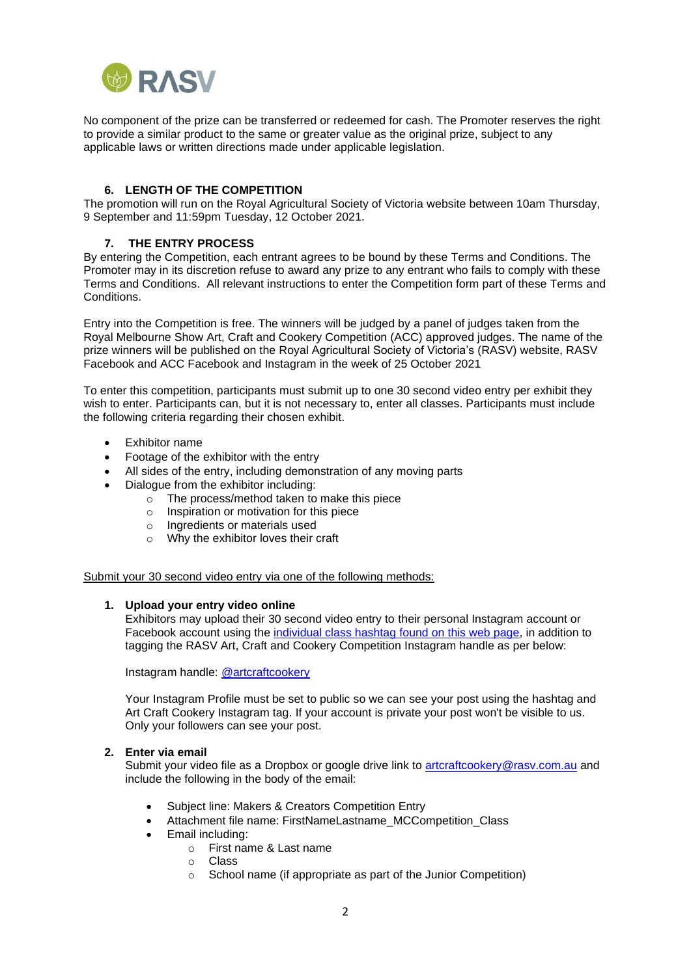

No component of the prize can be transferred or redeemed for cash. The Promoter reserves the right to provide a similar product to the same or greater value as the original prize, subject to any applicable laws or written directions made under applicable legislation.

# **6. LENGTH OF THE COMPETITION**

The promotion will run on the Royal Agricultural Society of Victoria website between 10am Thursday, 9 September and 11:59pm Tuesday, 12 October 2021.

#### **7. THE ENTRY PROCESS**

By entering the Competition, each entrant agrees to be bound by these Terms and Conditions. The Promoter may in its discretion refuse to award any prize to any entrant who fails to comply with these Terms and Conditions. All relevant instructions to enter the Competition form part of these Terms and Conditions.

Entry into the Competition is free. The winners will be judged by a panel of judges taken from the Royal Melbourne Show Art, Craft and Cookery Competition (ACC) approved judges. The name of the prize winners will be published on the Royal Agricultural Society of Victoria's (RASV) website, RASV Facebook and ACC Facebook and Instagram in the week of 25 October 2021

To enter this competition, participants must submit up to one 30 second video entry per exhibit they wish to enter. Participants can, but it is not necessary to, enter all classes. Participants must include the following criteria regarding their chosen exhibit.

- Exhibitor name
- Footage of the exhibitor with the entry
- All sides of the entry, including demonstration of any moving parts
- Dialogue from the exhibitor including:
	- o The process/method taken to make this piece
	- o Inspiration or motivation for this piece
	- o Ingredients or materials used
	- o Why the exhibitor loves their craft

Submit your 30 second video entry via one of the following methods:

#### **1. Upload your entry video online**

Exhibitors may upload their 30 second video entry to their personal Instagram account or Facebook account using the [individual class hashtag](https://www.rasv.com.au/makers-and-creators-competition/competition-info/classes-and-eligibility/) found on this web page, in addition to tagging the RASV Art, Craft and Cookery Competition Instagram handle as per below:

Instagram handle: [@artcraftcookery](https://www.instagram.com/artcraftcookery/)

Your Instagram Profile must be set to public so we can see your post using the hashtag and Art Craft Cookery Instagram tag. If your account is private your post won't be visible to us. Only your followers can see your post.

#### **2. Enter via email**

Submit your video file as a Dropbox or google drive link to [artcraftcookery@rasv.com.au](mailto:artcraftcookery@rasv.com.au) and include the following in the body of the email:

- Subject line: Makers & Creators Competition Entry
- Attachment file name: FirstNameLastname\_MCCompetition\_Class
- Email including:
	- o First name & Last name
	- o Class
	- o School name (if appropriate as part of the Junior Competition)